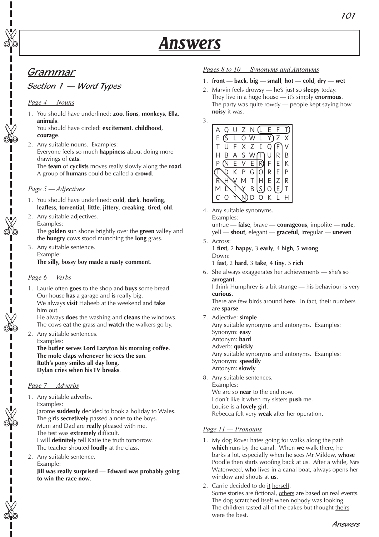# Grammar

✄

✄

✄

Π

✄

✄

✄

# Section 1 - Word Types

## *Page 4 — Nouns*

1. You should have underlined: **zoo**, **lions**, **monkeys**, **Ella**, **animals**.

You should have circled: **excitement**, **childhood**, **courage**.

2. Any suitable nouns. Examples: Everyone feels so much **happiness** about doing more drawings of **cats**. The **team** of **cyclists** moves really slowly along the **road**. A group of **humans** could be called a **crowd**.

## *Page 5 — Adjectives*

- 1. You should have underlined: **cold**, **dark**, **howling**, **leafless**, **torrential**, **little**, **jittery**, **creaking**, **tired**, **old**.
- 2. Any suitable adjectives. Examples:

The **golden** sun shone brightly over the **green** valley and the **hungry** cows stood munching the **long** grass.

3. Any suitable sentence. Example: **The silly, bossy boy made a nasty comment**.

## *Page 6 — Verbs*

1. Laurie often **goes** to the shop and **buys** some bread. Our house **has** a garage and **is** really big. We always **visit** Habeeb at the weekend and **take** him out.

He always **does** the washing and **cleans** the windows. The cows **eat** the grass and **watch** the walkers go by.

2. Any suitable sentences. Examples: **The butler serves Lord Lazyton his morning coffee**. **The mole claps whenever he sees the sun**. **Ruth's pony smiles all day long**. **Dylan cries when his TV breaks**.

## *Page 7 — Adverbs*

1. Any suitable adverbs. Examples:

Jarome **suddenly** decided to book a holiday to Wales. The girls **secretively** passed a note to the boys. Mum and Dad are **really** pleased with me. The test was **extremely** difficult. I will **definitely** tell Katie the truth tomorrow. The teacher shouted **loudly** at the class.

2. Any suitable sentence. Example: **Jill was really surprised — Edward was probably going to win the race now**.

## *Pages 8 to 10 — Synonyms and Antonyms*

- 1. **front** — **back**, **big** — **small**, **hot cold**, **dry wet**
- 2. Marvin feels drowsy he's just so **sleepy** today. They live in a huge house — it's simply **enormous**. The party was quite rowdy — people kept saying how **noisy** it was.





4. Any suitable synonyms. Examples: untrue — **false**, brave — **courageous**, impolite — **rude**,

yell — **shout**, elegant — **graceful**, irregular — **uneven** 

5. Across:

1 **first**, 2 **happy**, 3 **early**, 4 **high**, 5 **wrong** Down:

1 **fast**, 2 **hard**, 3 **take**, 4 **tiny**, 5 **rich**

6. She always exaggerates her achievements — she's so **arrogant**.

I think Humphrey is a bit strange — his behaviour is very **curious**.

There are few birds around here. In fact, their numbers are **sparse**.

7. Adjective: **simple**

Any suitable synonyms and antonyms. Examples: Synonym: **easy** Antonym: **hard** Adverb: **quickly** Any suitable synonyms and antonyms. Examples: Synonym: **speedily** Antonym: **slowly**

8. Any suitable sentences. Examples: We are so **near** to the end now. I don't like it when my sisters **push** me. Louise is a **lovely** girl. Rebecca felt very **weak** after her operation.

## *Page 11 — Pronouns*

- 1. My dog Rover hates going for walks along the path **which** runs by the canal. When **we** walk there, he barks a lot, especially when he sees Mr Mildew, **whose**  Poodle then starts woofing back at us. After a while, Mrs Waterweed, **who** lives in a canal boat, always opens her window and shouts at **us**.
- 2. Carrie decided to do it herself. Some stories are fictional, others are based on real events. The dog scratched itself when nobody was looking. The children tasted all of the cakes but thought theirs were the best.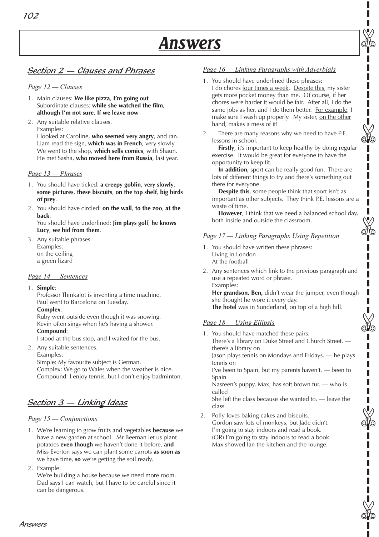✄

I

✄

✄

✄

✄

# Section 2 — Clauses and Phrases

#### *Page 12 — Clauses*

- 1. Main clauses: **We like pizza**, **I'm going out** Subordinate clauses: **while she watched the film**, **although I'm not sure**, **If we leave now**
- 2. Any suitable relative clauses. Examples:

I looked at Caroline, **who seemed very angry**, and ran. Liam read the sign, **which was in French**, very slowly. We went to the shop, **which sells comics**, with Shaun. He met Sasha, **who moved here from Russia**, last year.

#### *Page 13 — Phrases*

- 1. You should have ticked: **a creepy goblin**, **very slowly**, **some pictures**, **these biscuits**, **on the top shelf**, **big birds of prey**.
- 2. You should have circled: **on the wall**, **to the zoo**, **at the back**.

You should have underlined: **Jim plays golf**, **he knows Lucy**, **we hid from them**.

3. Any suitable phrases. Examples: on the ceiling a green lizard

#### *Page 14 — Sentences*

1. **Simple**:

Professor Thinkalot is inventing a time machine. Paul went to Barcelona on Tuesday.

**Complex**:

Ruby went outside even though it was snowing. Kevin often sings when he's having a shower. **Compound**:

I stood at the bus stop, and I waited for the bus.

2. Any suitable sentences. Examples:

Simple: My favourite subject is German. Complex: We go to Wales when the weather is nice. Compound: I enjoy tennis, but I don't enjoy badminton.

# Section 3 — Linking Ideas

## *Page 15 — Conjunctions*

Answers

1. We're learning to grow fruits and vegetables **because** we have a new garden at school. Mr Beeman let us plant potatoes **even though** we haven't done it before, **and** Miss Everton says we can plant some carrots **as soon as** we have time, **so** we're getting the soil ready.

2. Example: We're building a house because we need more room. Dad says I can watch, but I have to be careful since it can be dangerous.

#### *Page 16 — Linking Paragraphs with Adverbials*

- 1. You should have underlined these phrases: I do chores four times a week. Despite this, my sister gets more pocket money than me. Of course, if her chores were harder it would be fair. After all, I do the same jobs as her, and I do them better. For example, I make sure I wash up properly. My sister, on the other hand, makes a mess of it!
- 2. There are many reasons why we need to have P.E. lessons in school.

**Firstly**, it's important to keep healthy by doing regular exercise. It would be great for everyone to have the opportunity to keep fit.

**In addition**, sport can be really good fun. There are lots of different things to try and there's something out there for everyone.

**Despite this**, some people think that sport isn't as important as other subjects. They think P.E. lessons are a waste of time.

**However**, I think that we need a balanced school day, both inside and outside the classroom.

#### *Page 17 — Linking Paragraphs Using Repetition*

- 1. You should have written these phrases: Living in London At the football
- 2. Any sentences which link to the previous paragraph and use a repeated word or phrase. Examples: **Her grandson, Ben,** didn't wear the jumper, even though

she thought he wore it every day. **The hotel** was in Sunderland, on top of a high hill.

## *Page 18 — Using Ellipsis*

1. You should have matched these pairs: There's a library on Duke Street and Church Street. there's a library on Jason plays tennis on Mondays and Fridays. — he plays tennis on I've been to Spain, but my parents haven't. — been to Spain

Nasreen's puppy, Max, has soft brown fur. — who is called

She left the class because she wanted to. — leave the class

2. Polly loves baking cakes and biscuits. Gordon saw lots of monkeys, but Jade didn't. I'm going to stay indoors and read a book. (OR) I'm going to stay indoors to read a book. Max showed Ian the kitchen and the lounge.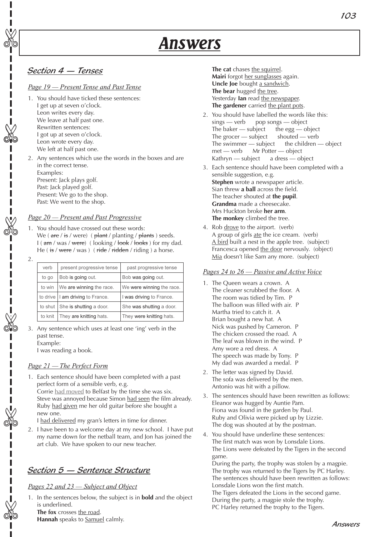# Section 4 — Tenses

✄

✄

✄

✄

Π I Ī

✄

✄

Ī

## *Page 19 — Present Tense and Past Tense*

- 1. You should have ticked these sentences: I get up at seven o'clock. Leon writes every day. We leave at half past one. Rewritten sentences: I got up at seven o'clock. Leon wrote every day. We left at half past one.
- 2. Any sentences which use the words in the boxes and are in the correct tense. Examples: Present: Jack plays golf. Past: Jack played golf. Present: We go to the shop. Past: We went to the shop.

#### *Page 20 — Present and Past Progressive*

- 1. You should have crossed out these words: We ( $\text{are}/\text{is}/\text{were}$ ) ( $\text{plant}/\text{planting}/\text{plants}$ ) seeds.  $I$  ( $am$  / was / were) (looking /  $book$  /  $books$ ) for my dad. He ( $\frac{i}{5}$  / were / was ) ( $\frac{i}{5}$  ridden / riding ) a horse.
- 2.

| verb    | present progressive tense        | past progressive tense    |
|---------|----------------------------------|---------------------------|
| to go   | Bob is going out.                | Bob was going out.        |
| to win  | We are winning the race.         | We were winning the race. |
|         | to drive I am driving to France. | I was driving to France.  |
|         | to shut She is shutting a door.  | She was shutting a door.  |
| to knit | They are knitting hats.          | They were knitting hats.  |

3. Any sentence which uses at least one 'ing' verb in the past tense. Example:

I was reading a book.

## *Page 21 — The Perfect Form*

1. Each sentence should have been completed with a past perfect form of a sensible verb, e.g. Corrie had moved to Belfast by the time she was six. Steve was annoyed because Simon had seen the film already. Ruby had given me her old guitar before she bought a new one.

I had delivered my gran's letters in time for dinner.

2. I have been to a welcome day at my new school. I have put my name down for the netball team, and Jon has joined the art club. We have spoken to our new teacher.

# Section 5 — Sentence Structure

## *Pages 22 and 23 — Subject and Object*

1. In the sentences below, the subject is in **bold** and the object is underlined.

**The fox** crosses the road.

**Hannah** speaks to Samuel calmly.

**The cat** chases the squirrel. **Mairi** forgot her sunglasses again. Uncle Joe bought a sandwich. **The bear** hugged the tree. Yesterday **Ian** read the newspaper. **The gardener** carried the plant pots.

- 2. You should have labelled the words like this: sings — verb pop songs — object The baker  $-$  subject the egg  $-$  object The grocer — subject shouted — verb The swimmer  $-$  subject the children  $-$  object met — verb Mr Potter — object Kathryn — subject a dress — object
- 3. Each sentence should have been completed with a sensible suggestion, e.g. **Stephen** wrote a newspaper article. Sian threw **a ball** across the field. The teacher shouted at **the pupil**. **Grandma** made a cheesecake. Mrs Huckton broke **her arm**. **The monkey** climbed the tree.
- 4. Rob drove to the airport. (verb) A group of girls ate the ice cream. (verb) A bird built a nest in the apple tree. (subject) Francesca opened the door nervously. (object) Mia doesn't like Sam any more. (subject)

#### *Pages 24 to 26 — Passive and Active Voice*

- 1. The Queen wears a crown. A The cleaner scrubbed the floor. A The room was tidied by Tim. P The balloon was filled with air. P Martha tried to catch it. A Brian bought a new hat. A Nick was pushed by Cameron. P The chicken crossed the road. A The leaf was blown in the wind. P Amy wore a red dress. A The speech was made by Tony. P My dad was awarded a medal. P
- 2. The letter was signed by David. The sofa was delivered by the men. Antonio was hit with a pillow.
- 3. The sentences should have been rewritten as follows: Eleanor was hugged by Auntie Pam. Fiona was found in the garden by Paul. Ruby and Olivia were picked up by Lizzie. The dog was shouted at by the postman.
- 4. You should have underline these sentences: The first match was won by Lonsdale Lions. The Lions were defeated by the Tigers in the second game.

During the party, the trophy was stolen by a magpie. The trophy was returned to the Tigers by PC Harley. The sentences should have been rewritten as follows: Lonsdale Lions won the first match.

The Tigers defeated the Lions in the second game. During the party, a magpie stole the trophy. PC Harley returned the trophy to the Tigers.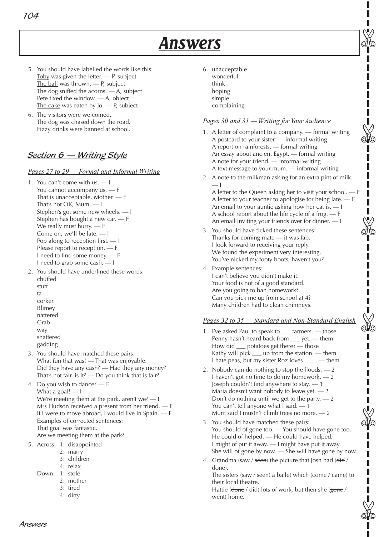- 5. You should have labelled the words like this: Toby was given the letter. — P, subject The ball was thrown. — P, subject The dog sniffed the acorns. - A, subject Pete fixed the window. — A, object The cake was eaten by Jo. — P, subject
- 6. The visitors were welcomed. The dog was chased down the road. Fizzy drinks were banned at school.

# <u>Section 6 — Writing Style</u>

## *Pages 27 to 29 — Formal and Informal Writing*

- 1. You can't come with us. I You cannot accompany us. — F That is unacceptable, Mother. — F That's not OK, Mum. — I Stephen's got some new wheels. — I Stephen has bought a new car. — F We really must hurry. — F Come on, we'll be late. — I Pop along to reception first. — I Please report to reception. — F I need to find some money. — F I need to grab some cash. — I
- 2. You should have underlined these words: chuffed stuff ta corker Blimey
	- nattered Grab way
	- shattered
	- gadding
- 3. You should have matched these pairs: What fun that was! — That was enjoyable. Did they have any cash? — Had they any money? That's not fair, is it?  $-$  Do you think that is fair?

4. Do you wish to dance? — F What a goal!  $-1$ We're meeting them at the park, aren't we? — I Mrs Hudson received a present from her friend. — F If I were to move abroad, I would live in Spain. — F Examples of corrected sentences: That goal was fantastic. Are we meeting them at the park?

- 5. Across: 1: disappointed
	- 2: marry
	- 3: children
	- 4: relax
	- Down: 1: stole
		- 2: mother
		- 3: tired
		- 4: dirty

6. unacceptable wonderful think hoping simple complaining

## *Pages 30 and 31 — Writing for Your Audience*

1. A letter of complaint to a company. — formal writing A postcard to your sister. — informal writing A report on rainforests. — formal writing An essay about ancient Egypt. — formal writing A note for your friend. — informal writing A text message to your mum. — informal writing

✄

✄

✄

✄

I ı

✄

2. A note to the milkman asking for an extra pint of milk. — I

A letter to the Queen asking her to visit your school. — F A letter to your teacher to apologise for being late. — F An email to your auntie asking how her cat is. — I A school report about the life cycle of a frog. — F An email inviting your friends over for dinner. — I ✄

- 3. You should have ticked these sentences: Thanks for coming mate — it was fab. I look forward to receiving your reply. We found the experiment very interesting. You've nicked my footy boots, haven't you?
- 4. Example sentences: I can't believe you didn't make it. Your food is not of a good standard. Are you going to ban homework? Can you pick me up from school at 4? Many children had to clean chimneys.

## *Pages 32 to 35 — Standard and Non-Standard English*

- 1. I've asked Paul to speak to farmers. those Penny hasn't heard back from \_\_\_ yet. — them How did \_\_\_ potatoes get there? — those Kathy will pick  $\equiv$  up from the station.  $\equiv$  them I hate peas, but my sister Roz loves \_\_\_ . — them
- 2. Nobody can do nothing to stop the floods. 2 I haven't got no time to do my homework. — 2 Joseph couldn't find anywhere to stay. — 1 Maria doesn't want nobody to leave yet. — 2 Don't do nothing until we get to the party.  $-2$ You can't tell anyone what I said. — 1 Mum said I mustn't climb trees no more. — 2
- 3. You should have matched these pairs: You should of gone too. — You should have gone too. He could of helped. — He could have helped. I might of put it away. — I might have put it away. She will of gone by now. — She will have gone by now.
- 4. Grandma (saw / seen) the picture that Josh had (did / done).

The sisters (saw / seen) a ballet which (come / came) to their local theatre.

Hattie (done / did) lots of work, but then she (gone / went) home.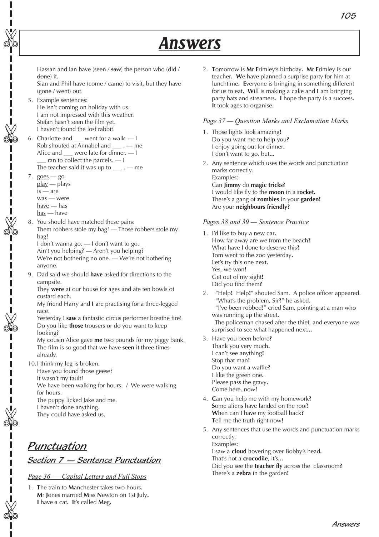Hassan and Ian have (seen / saw) the person who (did / done) it.

Sian and Phil have (come  $/$  came) to visit, but they have (gone / went) out.

- 5. Example sentences: He isn't coming on holiday with us. I am not impressed with this weather. Stefan hasn't seen the film yet. I haven't found the lost rabbit.
- 6. Charlotte and \_\_\_ went for a walk. I Rob shouted at Annabel and \_\_\_ . — me Alice and \_\_\_ were late for dinner. — I  $-$  ran to collect the parcels.  $-1$ The teacher said it was up to  $\_\_\_\_$ . — me
- 7.  $g$ oes go

✄

✄

✄

п

✄

✄

✄

Π

- play plays  $is$  — are
- was were
- have has
- has have
- 8. You should have matched these pairs: Them robbers stole my bag! — Those robbers stole my bag!

I don't wanna go. — I don't want to go.

Ain't you helping? — Aren't you helping?

We're not bothering no one. — We're not bothering anyone.

9. Dad said we should **have** asked for directions to the campsite.

They **were** at our house for ages and ate ten bowls of custard each.

My friend Harry and **I** are practising for a three-legged race.

Yesterday I **saw** a fantastic circus performer breathe fire! Do you like **those** trousers or do you want to keep looking?

My cousin Alice gave **me** two pounds for my piggy bank. The film is so good that we have **seen** it three times already.

- 10.I think my leg is broken.
	- Have you found those geese?
	- It wasn't my fault!

We have been walking for hours. / We were walking for hours.

The puppy licked Jake and me.

- I haven't done anything.
- They could have asked us.

# Punctuation Section 7 — Sentence Punctuation

*Page 36 — Capital Letters and Full Stops*

1. **T**he train to **M**anchester takes two hours**. M**r **J**ones married **M**iss **N**ewton on 1st **J**uly**. I** have a cat**. I**t's called **M**eg**.**

2. **T**omorrow is **M**r **F**rimley's birthday**. M**r **F**rimley is our teacher**. W**e have planned a surprise party for him at lunchtime**. E**veryone is bringing in something different for us to eat**. W**ill is making a cake and **I** am bringing party hats and streamers**. I** hope the party is a success**. I**t took ages to organise**.**

## *Page 37 — Question Marks and Exclamation Marks*

- 1. Those lights look amazing**!** Do you want me to help you**?** I enjoy going out for dinner**.** I don't want to go, but**...**
- 2. Any sentence which uses the words and punctuation marks correctly. Examples: Can **Jimmy** do **magic tricks?** I would like fly to the **moon** in a **rocket.** There's a gang of **zombies** in your **garden!** Are your **neighbours friendly?**

## *Pages 38 and 39 — Sentence Practice*

- 1. I'd like to buy a new car**.** How far away are we from the beach**?** What have I done to deserve this**?** Tom went to the zoo yesterday**.** Let's try this one next**.** Yes, we won**!** Get out of my sight**!** Did you find them**?**
- 2. "Help**!** Help**!**" shouted Sam. A police officer appeared. "What's the problem, Sir**?**" he asked. "I've been robbed!" cried Sam, pointing at a man who was running up the street**.** The policeman chased after the thief, and everyone was surprised to see what happened next**...**
- 3. Have you been before**?** Thank you very much**.** I can't see anything**!** Stop that man**!** Do you want a waffle**?** I like the green one**.** Please pass the gravy**.** Come here, now**!**
- 4. **C**an you help me with my homework**? S**ome aliens have landed on the roof**! W**hen can I have my football back**? T**ell me the truth right now**!**
- 5. Any sentences that use the words and punctuation marks correctly. Examples:

I saw a **cloud** hovering over Bobby's head**.**

That's not a **crocodile**, it's**...**

Did you see the **teacher fly** across the classroom**?** There's a **zebra** in the garden**!**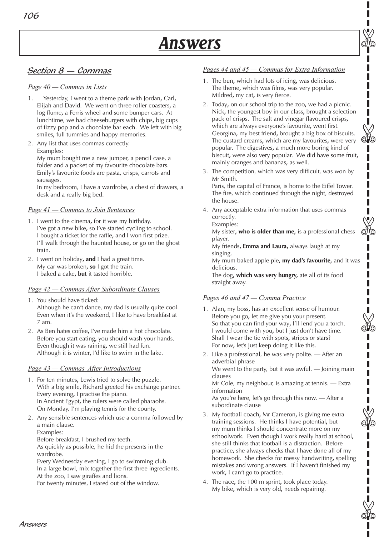# Section 8 — Commas

#### *Page 40 — Commas in Lists*

- 1. Yesterday, I went to a theme park with Jordan**,** Carl**,** Elijah and David. We went on three roller coasters**,** a log flume**,** a Ferris wheel and some bumper cars. At lunchtime, we had cheeseburgers with chips**,** big cups of fizzy pop and a chocolate bar each. We left with big smiles**,** full tummies and happy memories.
- 2. Any list that uses commas correctly. Examples: My mum bought me a new jumper, a pencil case, a folder and a packet of my favourite chocolate bars. Emily's favourite foods are pasta, crisps, carrots and

sausages.

In my bedroom, I have a wardrobe, a chest of drawers, a desk and a really big bed.

#### *Page 41 — Commas to Join Sentences*

- 1. I went to the cinema**,** for it was my birthday. I've got a new bike**,** so I've started cycling to school. I bought a ticket for the raffle**,** and I won first prize. I'll walk through the haunted house**,** or go on the ghost train.
- 2. I went on holiday**, and** I had a great time. My car was broken**, so** I got the train. I baked a cake**, but** it tasted horrible.

#### *Page 42 — Commas After Subordinate Clauses*

- 1. You should have ticked: Although he can't dance, my dad is usually quite cool. Even when it's the weekend, I like to have breakfast at 7 am.
- 2. As Ben hates coffee**,** I've made him a hot chocolate. Before you start eating**,** you should wash your hands. Even though it was raining**,** we still had fun. Although it is winter**,** I'd like to swim in the lake.

## *Page 43 — Commas After Introductions*

- 1. For ten minutes**,** Lewis tried to solve the puzzle. With a big smile**,** Richard greeted his exchange partner. Every evening**,** I practise the piano. In Ancient Egypt**,** the rulers were called pharaohs. On Monday, I'm playing tennis for the county.
- 2. Any sensible sentences which use a comma followed by a main clause. Examples:

Before breakfast, I brushed my teeth.

As quickly as possible, he hid the presents in the wardrobe.

Every Wednesday evening, I go to swimming club. In a large bowl, mix together the first three ingredients. At the zoo, I saw giraffes and lions.

For twenty minutes, I stared out of the window.

## *Pages 44 and 45 — Commas for Extra Information*

✄

ාධත

✄

✄

✄

ı  $\begin{array}{c} \hline \end{array}$ ı

✄

- 1. The bun**,** which had lots of icing**,** was delicious**.** The theme**,** which was films**,** was very popular. Mildred**,** my cat**,** is very fierce.
- 2. Today**,** on our school trip to the zoo**,** we had a picnic. Nick**,** the youngest boy in our class**,** brought a selection pack of crisps. The salt and vinegar flavoured crisps**,** which are always everyone's favourite**,** went first. Georgina**,** my best friend**,** brought a big box of biscuits. The custard creams**,** which are my favourites**,** were very popular. The digestives**,** a much more boring kind of biscuit**,** were also very popular. We did have some fruit**,** mainly oranges and bananas**,** as well.
- 3. The competition, which was very difficult, was won by Mr Smith.

Paris, the capital of France, is home to the Eiffel Tower. The fire, which continued through the night, destroyed the house.

4. Any acceptable extra information that uses commas correctly. Examples:

My sister**, who is older than me,** is a professional chess player.

My friends**, Emma and Laura,** always laugh at my singing.

My mum baked apple pie**, my dad's favourite,** and it was delicious.

The dog**, which was very hungry,** ate all of its food straight away.

## *Pages 46 and 47 — Comma Practice*

- 1. Alan**,** my boss**,** has an excellent sense of humour. Before you go**,** let me give you your present. So that you can find your way**,** I'll lend you a torch. I would come with you**,** but I just don't have time. Shall I wear the tie with spots**,** stripes or stars? For now**,** let's just keep doing it like this.
- 2. Like a professional, he was very polite. After an adverbial phrase

We went to the party, but it was awful. — Joining main clauses

Mr Cole, my neighbour, is amazing at tennis. — Extra information

As you're here, let's go through this now. — After a subordinate clause

- 3. My football coach**,** Mr Cameron**,** is giving me extra training sessions. He thinks I have potential**,** but my mum thinks I should concentrate more on my schoolwork. Even though I work really hard at school**,** she still thinks that football is a distraction. Before practice**,** she always checks that I have done all of my homework. She checks for messy handwriting**,** spelling mistakes and wrong answers. If I haven't finished my work**,** I can't go to practice.
- 4. The race**,** the 100 m sprint**,** took place today. My bike**,** which is very old**,** needs repairing.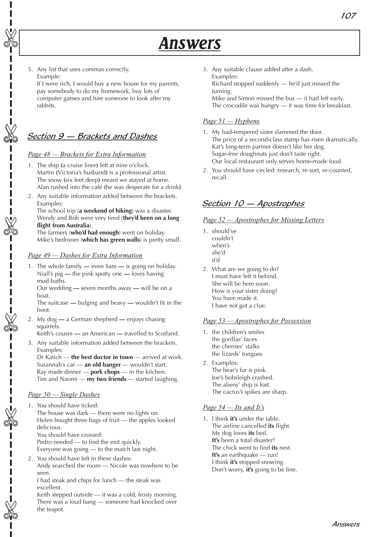5. Any list that uses commas correctly. Example:

✄

✄

✄

✄

✄

I

✄

Π

If I were rich, I would buy a new house for my parents, pay somebody to do my homework, buy lots of computer games and hire someone to look after my rabbits.

# Section 9 — Brackets and Dashes

## *Page 48 — Brackets for Extra Information*

- 1. The ship **(**a cruise liner**)** left at nine o'clock. Martin **(**Victoria's husband**)** is a professional artist. The snow **(**six feet deep**)** meant we stayed at home. Alan rushed into the café **(**he was desperate for a drink**)**.
- 2. Any suitable information added between the brackets. Examples:

The school trip (**a weekend of hiking**) was a disaster. Wendy and Bob were very tired (**they'd been on a long flight from Australia**).

The farmers (**who'd had enough**) went on holiday. Mike's bedroom (**which has green walls**) is pretty small.

#### *Page 49 — Dashes for Extra Information*

1. The whole family **—** even Sam **—** is going on holiday. Niall's pig **—** the pink spotty one **—** loves having mud-baths.

Our wedding **—** seven months away **—** will be on a boat.

The suitcase **—** bulging and heavy **—** wouldn't fit in the boot.

2. My dog **—** a German shepherd **—** enjoys chasing squirrels.

Keith's cousin **—** an American **—** travelled to Scotland.

3. Any suitable information added between the brackets. Examples:

Dr Katich — **the best doctor in town** — arrived at work. Susannah's car — **an old banger** — wouldn't start. Ray made dinner — **pork chops** — in the kitchen. Tim and Naomi — **my two friends** — started laughing.

## *Page 50 — Single Dashes*

- 1. You should have ticked: The house was dark — there were no lights on. Helen bought three bags of fruit — the apples looked delicious. You should have crossed: Pedro needed — to find the exit quickly.
	- Everyone was going to the match last night.
- 2. You should have left in these dashes: Andy searched the room — Nicole was nowhere to be seen.

I had steak and chips for lunch — the steak was excellent.

Keith stepped outside — it was a cold, frosty morning. There was a loud bang — someone had knocked over the teapot.

3. Any suitable clause added after a dash. Examples: Richard stopped suddenly — he'd just missed the

turning. Mike and Simon missed the bus — it had left early.

The crocodile was hungry — it was time for breakfast.

## *Page 51 — Hyphens*

- 1. My bad**-**tempered sister slammed the door. The price of a second**-**class stamp has risen dramatically. Kat's long**-**term partner doesn't like her dog. Sugar**-**free doughnuts just don't taste right. Our local restaurant only serves home**-**made food.
- 2. You should have circled: research, re-sort, re-counted, recall.

# Section 10 — Apostrophes

#### *Page 52 — Apostrophes for Missing Letters*

- 1. should've couldn't when's she'd it'd
- 2. What are we going to do? I must have left it behind. She will be here soon. How is your sister doing? You have made it. I have not got a clue.

#### *Page 53 — Apostrophes for Possession*

- 1. the children's smiles the gorillas' faces the cherries' stalks the lizards' tongues
- 2. Examples: The bear's fur is pink. Joe's bobsleigh crashed. The aliens' ship is lost. The cactus's spikes are sharp.

## *Page 54 — Its and It's*

1. I think **it's** under the table. The airline cancelled **its** flight. My dog loves **its** bed. **It's** been a total disaster! The chick went to find **its** nest. **It's** an earthquake — run! I think **it's** stopped snowing. Don't worry, **it's** going to be fine.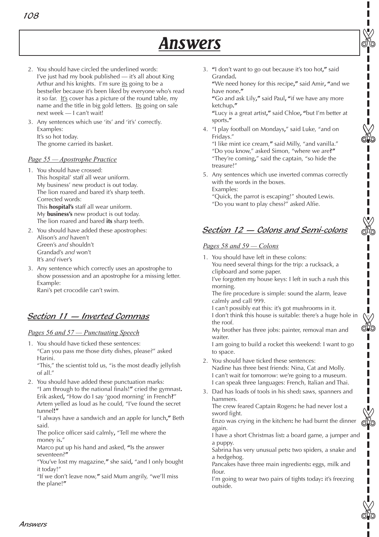- 2. You should have circled the underlined words: I've just had my book published — it's all about King Arthur and his knights. I'm sure its going to be a bestseller because it's been liked by everyone who's read it so far. It's cover has a picture of the round table, my name and the title in big gold letters. Its going on sale next week — I can't wait!
- 3. Any sentences which use 'its' and 'it's' correctly. Examples: It's so hot today. The gnome carried its basket.

#### *Page 55 — Apostrophe Practice*

108

- 1. You should have crossed: This hospital' staff all wear uniform. My business' new product is out today. The lion roared and bared it's sharp teeth. Corrected words: This **hospital's** staff all wear uniform. My **business's** new product is out today. The lion roared and bared **its** sharp teeth.
- 2. You should have added these apostrophes: Alison's *and* haven't Green's *and* shouldn't Grandad's *and* won't It's *and* river's
- 3. Any sentence which correctly uses an apostrophe to show possession and an apostrophe for a missing letter. Example: Rani's pet crocodile can't swim.

# Section 11 — Inverted Commas

#### *Pages 56 and 57 — Punctuating Speech*

1. You should have ticked these sentences: "Can you pass me those dirty dishes, please?" asked Harini.

"This," the scientist told us, "is the most deadly jellyfish of all."

2. You should have added these punctuation marks: "I am through to the national finals!**"** cried the gymnast**.** Erik asked**,** "How do I say 'good morning' in French**?**" Artem yelled as loud as he could, "I've found the secret tunnel**!"**

"I always have a sandwich and an apple for lunch**,"** Beth said.

The police officer said calmly**,** "Tell me where the money is**.**"

Marco put up his hand and asked, **"**Is the answer seventeen?**"**

"You've lost my magazine,**"** she said**,** "and I only bought it today!"

"If we don't leave now,**"** said Mum angrily, "we'll miss the plane!**"**

3. **"**I don't want to go out because it's too hot**,"** said Grandad**.**

**"**We need honey for this recipe**,"** said Amir**, "**and we have none**."**

**"**Go and ask Lily**,"** said Paul**, "**if we have any more ketchup**."**

**"**Lucy is a great artist**,"** said Chloe**, "**but I'm better at sports**."**

4. "I play football on Mondays**,**" said Luke, "and on Fridays."

"I like mint ice cream,**"** said Milly, "and vanilla." "Do you know," asked Simon, "where we are**?"** "They're coming**,**" said the captain, "so hide the treasure!"

5. Any sentences which use inverted commas correctly with the words in the boxes. Examples:

"Quick, the parrot is escaping!" shouted Lewis. "Do you want to play chess?" asked Alfie.

# Section 12 — Colons and Semi-colons

#### *Pages 58 and 59 — Colons*

1. You should have left in these colons: You need several things for the trip: a rucksack, a clipboard and some paper.

I've forgotten my house keys: I left in such a rush this morning.

The fire procedure is simple: sound the alarm, leave calmly and call 999.

I can't possibly eat this: it's got mushrooms in it. I don't think this house is suitable: there's a huge hole in the roof.

My brother has three jobs: painter, removal man and waiter.

I am going to build a rocket this weekend: I want to go to space.

- 2. You should have ticked these sentences: Nadine has three best friends: Nina, Cat and Molly. I can't wait for tomorrow: we're going to a museum. I can speak three languages: French, Italian and Thai.
- 3. Dad has loads of tools in his shed**:** saws, spanners and hammers.

The crew feared Captain Rogers**:** he had never lost a sword fight.

Enzo was crying in the kitchen**:** he had burnt the dinner again.

I have a short Christmas list**:** a board game, a jumper and a puppy.

Sabrina has very unusual pets**:** two spiders, a snake and a hedgehog.

Pancakes have three main ingredients**:** eggs, milk and flour.

I'm going to wear two pairs of tights today**:** it's freezing outside.



ಗಿದಿ

✄

 $\mathbb{A}^\infty$ 

✄

✄

✄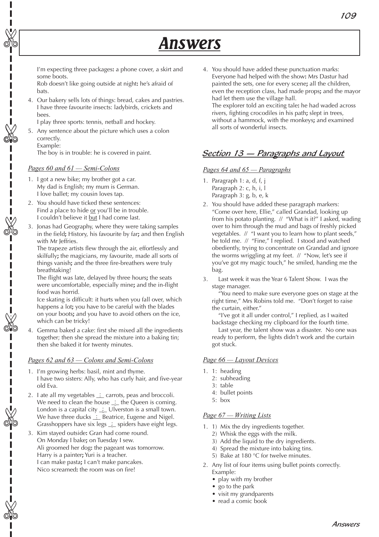I'm expecting three packages**:** a phone cover, a skirt and some boots.

Rob doesn't like going outside at night**:** he's afraid of bats.

4. Our bakery sells lots of things: bread, cakes and pastries. I have three favourite insects: ladybirds, crickets and bees.

I play three sports: tennis, netball and hockey.

5. Any sentence about the picture which uses a colon correctly.

Example:

✄

✄

✄

Ī

✄

 $\overline{\phantom{a}}$ I Ī

✄

✄

The boy is in trouble: he is covered in paint.

#### *Pages 60 and 61 — Semi-Colons*

- 1. I got a new bike; my brother got a car. My dad is English; my mum is German. I love ballet; my cousin loves tap.
- 2. You should have ticked these sentences: Find a place to hide or you'll be in trouble. I couldn't believe it but I had come last.
- 3. Jonas had Geography, where they were taking samples in the field**;** History, his favourite by far**;** and then English with Mr leffries.

The trapeze artists flew through the air, effortlessly and skilfully**;** the magicians, my favourite, made all sorts of things vanish**;** and the three fire-breathers were truly breathtaking!

The flight was late, delayed by three hours**;** the seats were uncomfortable, especially mine**;** and the in-flight food was horrid.

Ice skating is difficult: it hurts when you fall over, which happens a lot**;** you have to be careful with the blades on your boots**;** and you have to avoid others on the ice, which can be tricky!

4. Gemma baked a cake: first she mixed all the ingredients together; then she spread the mixture into a baking tin; then she baked it for twenty minutes.

#### *Pages 62 and 63 — Colons and Semi-Colons*

- 1. I'm growing herbs: basil, mint and thyme. I have two sisters: Ally, who has curly hair, and five-year old Eva.
- 2. Late all my vegetables  $\pm$  carrots, peas and broccoli. We need to clean the house  $\therefore$  the Queen is coming. London is a capital city  $\cdot$  Ulverston is a small town. We have three ducks  $\therefore$  Beatrice, Eugene and Nigel. Grasshoppers have six legs  $\angle$  spiders have eight legs.
- 3. Kim stayed outside**:** Gran had come round. On Monday I bake**;** on Tuesday I sew. Ali groomed her dog**:** the pageant was tomorrow. Harry is a painter**;** Yuri is a teacher. I can make pasta**;** I can't make pancakes. Nico screamed**:** the room was on fire!

4. You should have added these punctuation marks: Everyone had helped with the show**:** Mrs Dastur had painted the sets, one for every scene**;** all the children, even the reception class, had made props**;** and the mayor had let them use the village hall. The explorer told an exciting tale**:** he had waded across rivers, fighting crocodiles in his path**;** slept in trees, without a hammock, with the monkeys**;** and examined all sorts of wonderful insects.

# Section 13 — Paragraphs and Layout

#### *Pages 64 and 65 — Paragraphs*

- 1. Paragraph 1: a, d, f, j Paragraph 2: c, h, i, l Paragraph 3: g, b, e, k
- 2. You should have added these paragraph markers: "Come over here, Ellie," called Grandad, looking up from his potato planting. // "What is it?" I asked, wading over to him through the mud and bags of freshly picked vegetables. // "I want you to learn how to plant seeds," he told me. // "Fine," I replied. I stood and watched obediently, trying to concentrate on Grandad and ignore the worms wriggling at my feet. // "Now, let's see if you've got my magic touch," he smiled, handing me the bag.
- 3. Last week it was the Year 6 Talent Show. I was the stage manager.

"You need to make sure everyone goes on stage at the right time," Mrs Robins told me. "Don't forget to raise the curtain, either."

"I've got it all under control," I replied, as I waited backstage checking my clipboard for the fourth time.

Last year, the talent show was a disaster. No one was ready to perform, the lights didn't work and the curtain got stuck.

#### *Page 66 — Layout Devices*

- 1. 1: heading
	- 2: subheading
	- 3: table
	- 4: bullet points
	- 5: box

#### *Page 67 — Writing Lists*

- 1. 1) Mix the dry ingredients together.
	- 2) Whisk the eggs with the milk.
	- 3) Add the liquid to the dry ingredients.
	- 4) Spread the mixture into baking tins.
	- 5) Bake at 180 °C for twelve minutes.
- 2. Any list of four items using bullet points correctly. Example:
	- play with my brother
	- go to the park
	- visit my grandparents
	- read a comic book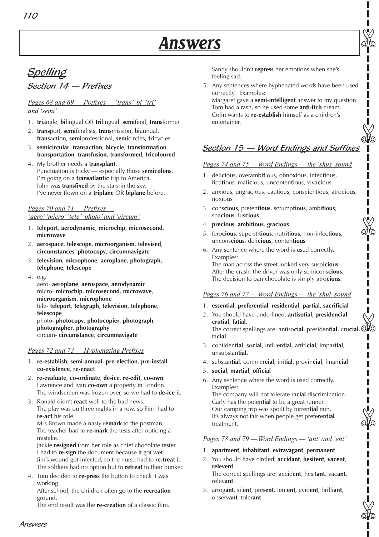# **Spelling** Section 14 — Prefixes

## *Pages 68 and 69 — Prefixes — 'trans' 'bi' 'tri' and 'semi'*

- 1. **tri**angle, **bi**lingual OR **tri**lingual, **semi**final, **trans**former
- 2. **trans**port, **semi**finalists, **trans**mission, **bi**annual, **trans**action, **semi**professional, **semi**circles, **tri**cycles
- 3. **semicircular**, **transaction**, **bicycle**, **transformation**, **transportation**, **transfusion**, **transformed**, **tricoloured**
- 4. My brother needs a **transplant**. Punctuation is tricky — especially those **semicolons**. I'm going on a **transatlantic** trip to America. John was **transfixed** by the stars in the sky. I've never flown on a **triplane** OR **biplane** before.

#### *Pages 70 and 71 — Prefixes — 'aero' 'micro' 'tele' 'photo' and 'circum'*

- 1. **teleport**, **aerodynamic**, **microchip**, **microsecond**, **microwave**
- 2. **aerospace**, **telescope**, **microorganism**, **televised**, **circumstances**, **photocopy**, **circumnavigate**
- 3. **television**, **microphone**, **aeroplane**, **photograph, telephone**, **telescope**
- 4. e.g.

aero- **aeroplane**, **aerospace**, **aerodynamic** micro- **microchip**, **microsecond**, **microwave**, **microorganism**, **microphone** tele- **teleport**, **telegraph**, **television**, **telephone**, **telescope**

photo- **photocopy**, **photocopier**, **photograph**, **photographer**, **photography** circum- **circumstance**, **circumnavigate**

## *Pages 72 and 73 — Hyphenating Prefixes*

- 1. **re-establish**, **semi-annual**, **pre-election**, **pre-install**, **co-existence**, **re-enact**
- 2. **re-evaluate**, **co-ordinate**, **de-ice**, **re-edit**, **co-own** Lawrence and Ivan **co-own** a property in London. The windscreen was frozen over, so we had to **de-ice** it.
- 3. Ronald didn't **react** well to the bad news. The play was on three nights in a row, so Finn had to **re-act** his role.

Mrs Brown made a nasty **remark** to the postman. The teacher had to **re-mark** the tests after noticing a mistake.

Jackie **resigned** from her role as chief chocolate tester. I had to **re-sign** the document because it got wet. Jim's wound got infected, so the nurse had to **re-treat** it. The soldiers had no option but to **retreat** to their bunker.

4. Tom decided to **re-press** the button to check it was working.

After school, the children often go to the **recreation** ground.

The end result was the **re-creation** of a classic film.

Sandy shouldn't **repress** her emotions when she's feeling sad.

5. Any sentences where hyphenated words have been used correctly. Examples:

✄

✄

✄

✄

✄

Margaret gave a **semi-intelligent** answer to my question. Tom had a rash, so he used some **anti-itch** cream. Colin wants to **re-establish** himself as a children's entertainer.

# Section 15 - Word Endings and Suffixes

#### *Pages 74 and 75 — Word Endings — the 'shus' sound*

- 1. deli**c**ious, overambi**t**ious, obno**x**ious, infec**t**ious, ficti**t**ious, mali**c**ious, unconten**t**ious, viva**c**ious.
- 2. anxious, ungracious, cautious, conscientious, atrocious, noxious
- 3. cons**cious**, preten**tious**, scrump**tious**, ambi**tious**, spa**cious**, lus**cious**.
- 4. **precious**, **ambitious**, **gracious**
- 5. fero**cious**, supersti**tious**, nutri**tious**, non-infec**tious**, uncons**cious**, deli**cious**, conten**tious**
- 6. Any sentence where the word is used correctly. Examples:

The man across the street looked very suspi**cious**. After the crash, the driver was only semicons**cious**. The decision to ban chocolate is simply atro**cious**.

## *Pages 76 and 77 — Word Endings — the 'shul' sound*

- 1. **essential**, **preferential**, **residential**, **partial**, **sacrificial**
- 2. You should have underlined: **antisotial**, **presidencial**, **crutial**, **fatial**. You should have underlined: **antisotial, presidencial,<br>
<b>crutial, fatial.**<br>
The correct spellings are: antiso**cial,** presidential, cru**cial, CHO** fa**cial**.
- 3. confiden**tial**, so**cial**, influen**tial**, artifi**cial**, impar**tial**, unsubstan**tial**.
- 4. substan**tial**, commer**cial**, ini**tial**, provin**cial**, finan**cial**
- 5. **social**, **martial**, **official**
- 6. Any sentence where the word is used correctly. Examples: The company will not tolerate ra**cial** discrimination. Carly has the poten**tial** to be a great runner. Our camping trip was spoilt by torren**tial** rain. It's always not fair when people get preferen**tial** treatment.

#### *Pages 78 and 79 — Word Endings — 'ant' and 'ent'*

- 1. **apartment**, **inhabitant**, **extravagant**, **permanent**
- 2. You should have circled: **accidant**, **hesitent**, **vacent**, **relevent**.

The correct spellings are: accid**ent**, hesit**ant**, vac**ant**, relev**ant**.

3. arrog**ant**, sil**ent**, pres**ent**, leni**ent**, evid**ent**, brilli**ant**, observ**ant**, toler**ant**.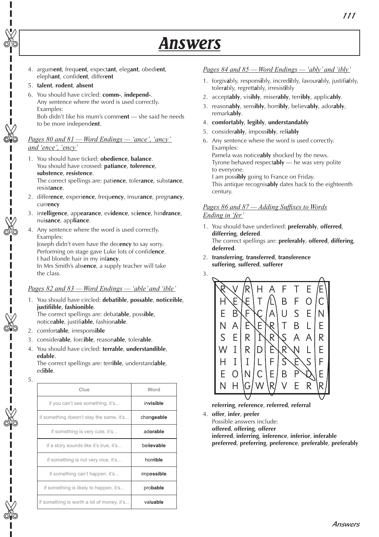- 4. argum**ent**, frequ**ent**, expect**ant**, eleg**ant**, obedi**ent**, eleph**ant**, confid**ent**, differ**ent**
- 5. **talent**, **rodent**, **absent**

✄

✄

✄

п

✄

✄

✄

6. You should have circled: **comm-**, **independ-**. Any sentence where the word is used correctly. Examples: Bob didn't like his mum's comm**ent** — she said he needs to be more independ**ent**.

#### *Pages 80 and 81 — Word Endings — 'ance', 'ancy' and 'ence', 'ency'*

1. You should have ticked: **obedience**, **balance**. You should have crossed: **patiance**, **tolerence**, **substence**, **resistence**. The correct spellings are: pati**ence**, toler**ance**, subst**ance**,

resist**ance**.

- 2. differ**ence**, experi**ence**, frequ**ency**, insur**ance**, pregn**ancy**, curr**ency**
- 3. int**elligence**, app**earance**, ev**idence**, sc**ience**, hin**drance**, nui**sance**, app**liance**.
- 4. Any sentence where the word is used correctly. Examples:

Joseph didn't even have the dec**ency** to say sorry. Performing on stage gave Luke lots of confid**ence**. I had blonde hair in my inf**ancy**.

In Mrs Smith's abs**ence**, a supply teacher will take the class.

#### *Pages 82 and 83 — Word Endings — 'able' and 'ible'*

- 1. You should have circled: **debatible**, **possable**, **noticeible**, **justifiible**, **fashionible**. The correct spellings are: debat**able**, poss**ible**,
- notice**able**, justifi**able**, fashion**able**.
- 2. comfort**able**, irrespons**ible**
- 3. consider**able**, forc**ible**, reason**able**, toler**able**.
- 4. You should have circled: **terrable**, **understandible**, **edable**.

The correct spellings are: terr**ible**, understand**able**, ed**ible**.

5.

| Clue                                       | Word       |
|--------------------------------------------|------------|
| if you can't see something, it's           | invisible  |
| if something doesn't stay the same, it's   | changeable |
| if something is very cute, it's            | adorable   |
| if a story sounds like it's true, it's     | believable |
| if something is not very nice, it's        | horrible   |
| if something can't happen, it's            | impossible |
| if something is likely to happen, it's     | probable   |
| if something is worth a lot of money, it's | valuable   |

#### *Pages 84 and 85 — Word Endings — 'ably' and 'ibly'*

- 1. forgiv**a**bly, respons**i**bly, incred**i**bly, favour**a**bly, justifi**a**bly, toler**a**bly, regrett**a**bly, irresist**i**bly
- 2. accept**ably**, vis**ibly**, miser**ably**, terr**ibly**, applic**ably**.
- 3. reason**ably**, sens**ibly**, horr**ibly**, believ**ably**, ador**ably**, remark**ably**.
- 4. **comfortably**, **legibly**, **understandably**
- 5. consider**ably**, imposs**ibly**, rel**iably**
- 6. Any sentence where the word is used correctly. Examples:

Pamela was notice**ably** shocked by the news. Tyrone behaved respect**ably** — he was very polite to everyone.

I am poss**ibly** going to France on Friday. This antique recognis**ably** dates back to the eighteenth century.

#### *Pages 86 and 87 — Adding Suffixes to Words Ending in 'fer'*

- 1. You should have underlined: **preferrably**, **offerred**, **differring**, **defered**. The correct spellings are: **preferably**, **offered**, **differing**, **deferred**.
- 2. **transferring**, **transferred**, **transference suffering**, **suffered**, **sufferer**

3.



**referring**, **reference**, **referred**, **referral**

4. **offer**, **infer**, **prefer**

Possible answers include:

**offered**, **offering**, **offerer**

**inferred**, **inferring**, **inference**, **inferior**, **inferable preferred**, **preferring**, **preference**, **preferable**, **preferably**